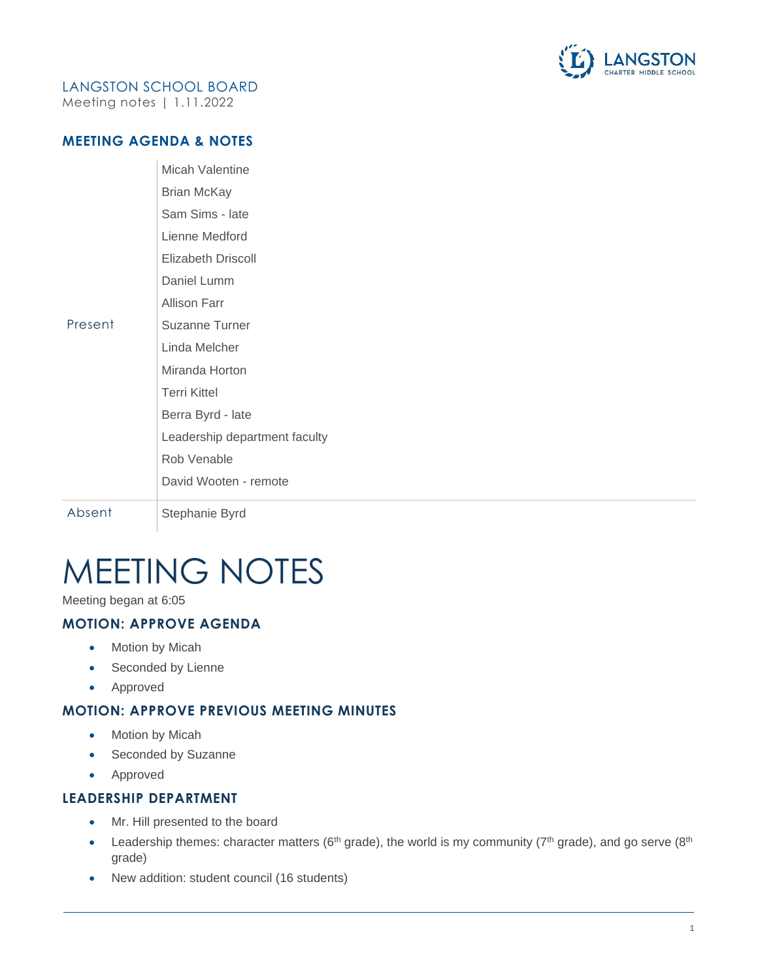

## LANGSTON SCHOOL BOARD

Meeting notes | 1.11.2022

#### **MEETING AGENDA & NOTES**

|         | Micah Valentine               |
|---------|-------------------------------|
|         | <b>Brian McKay</b>            |
|         | Sam Sims - late               |
|         | Lienne Medford                |
|         | Elizabeth Driscoll            |
|         | Daniel Lumm                   |
|         | Allison Farr                  |
| Present | Suzanne Turner                |
|         | Linda Melcher                 |
|         | Miranda Horton                |
|         | <b>Terri Kittel</b>           |
|         | Berra Byrd - late             |
|         | Leadership department faculty |
|         | Rob Venable                   |
|         | David Wooten - remote         |
| Absent  | Stephanie Byrd                |

# MEETING NOTES

Meeting began at 6:05

### **MOTION: APPROVE AGENDA**

- Motion by Micah
- Seconded by Lienne
- Approved

#### **MOTION: APPROVE PREVIOUS MEETING MINUTES**

- Motion by Micah
- Seconded by Suzanne
- Approved

#### **LEADERSHIP DEPARTMENT**

- Mr. Hill presented to the board
- Leadership themes: character matters ( $6<sup>th</sup>$  grade), the world is my community ( $7<sup>th</sup>$  grade), and go serve ( $8<sup>th</sup>$ grade)
- New addition: student council (16 students)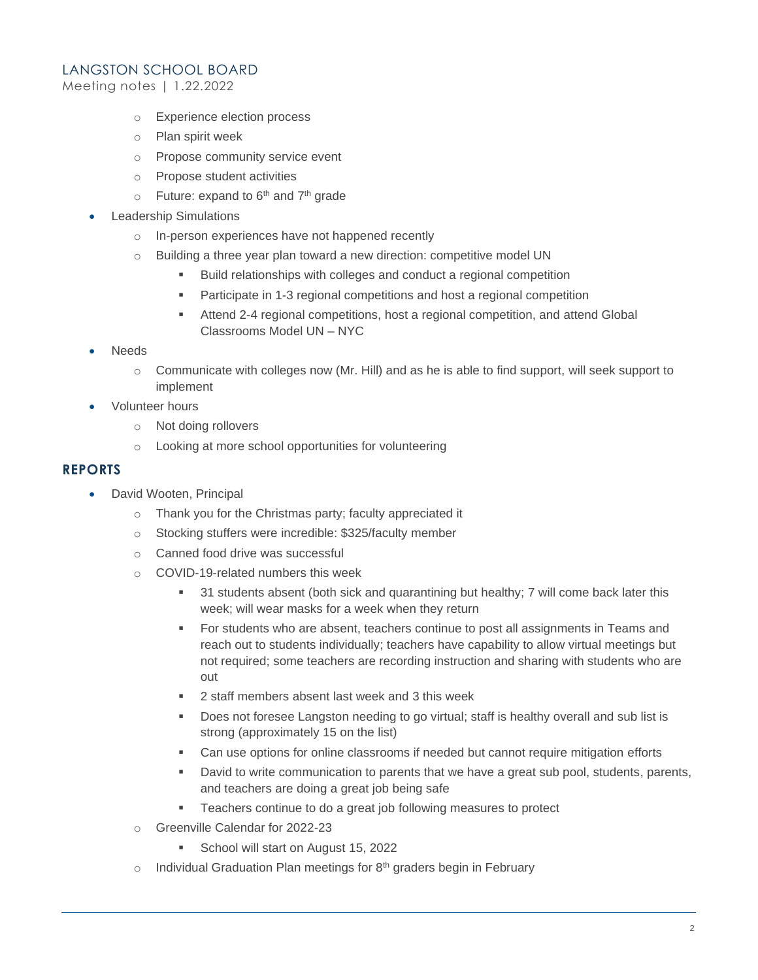#### LANGSTON SCHOOL BOARD

Meeting notes | 1.22.2022

- o Experience election process
- o Plan spirit week
- o Propose community service event
- o Propose student activities
- $\circ$  Future: expand to 6<sup>th</sup> and 7<sup>th</sup> grade
- **Leadership Simulations** 
	- o In-person experiences have not happened recently
	- o Building a three year plan toward a new direction: competitive model UN
		- Build relationships with colleges and conduct a regional competition
		- Participate in 1-3 regional competitions and host a regional competition
		- **EXECT** Attend 2-4 regional competitions, host a regional competition, and attend Global Classrooms Model UN – NYC
- Needs
	- $\circ$  Communicate with colleges now (Mr. Hill) and as he is able to find support, will seek support to implement
- Volunteer hours
	- o Not doing rollovers
	- o Looking at more school opportunities for volunteering

#### **REPORTS**

- David Wooten, Principal
	- o Thank you for the Christmas party; faculty appreciated it
	- o Stocking stuffers were incredible: \$325/faculty member
	- o Canned food drive was successful
	- o COVID-19-related numbers this week
		- 31 students absent (both sick and quarantining but healthy; 7 will come back later this week; will wear masks for a week when they return
		- For students who are absent, teachers continue to post all assignments in Teams and reach out to students individually; teachers have capability to allow virtual meetings but not required; some teachers are recording instruction and sharing with students who are out
		- 2 staff members absent last week and 3 this week
		- Does not foresee Langston needing to go virtual; staff is healthy overall and sub list is strong (approximately 15 on the list)
		- Can use options for online classrooms if needed but cannot require mitigation efforts
		- **•** David to write communication to parents that we have a great sub pool, students, parents, and teachers are doing a great job being safe
		- Teachers continue to do a great job following measures to protect
	- o Greenville Calendar for 2022-23
		- School will start on August 15, 2022
	- $\circ$  Individual Graduation Plan meetings for 8<sup>th</sup> graders begin in February